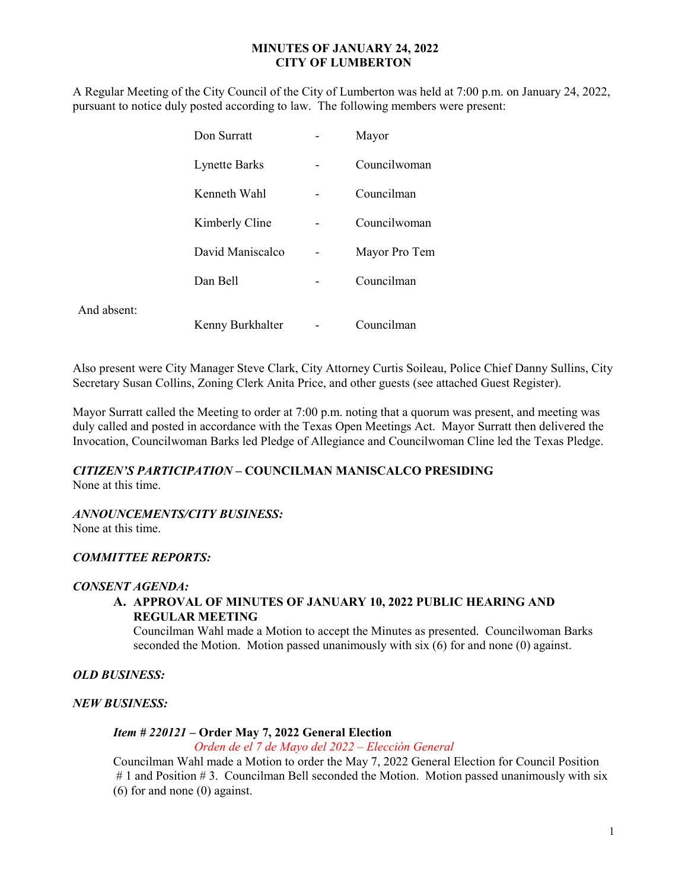# MINUTES OF JANUARY 24, 2022 CITY OF LUMBERTON

A Regular Meeting of the City Council of the City of Lumberton was held at 7:00 p.m. on January 24, 2022, pursuant to notice duly posted according to law. The following members were present:

|             | Don Surratt          | Mayor         |
|-------------|----------------------|---------------|
|             | <b>Lynette Barks</b> | Councilwoman  |
|             | Kenneth Wahl         | Councilman    |
|             | Kimberly Cline       | Councilwoman  |
|             | David Maniscalco     | Mayor Pro Tem |
|             | Dan Bell             | Councilman    |
| And absent: | Kenny Burkhalter     | Councilman    |

Also present were City Manager Steve Clark, City Attorney Curtis Soileau, Police Chief Danny Sullins, City Secretary Susan Collins, Zoning Clerk Anita Price, and other guests (see attached Guest Register).

Mayor Surratt called the Meeting to order at 7:00 p.m. noting that a quorum was present, and meeting was duly called and posted in accordance with the Texas Open Meetings Act. Mayor Surratt then delivered the Invocation, Councilwoman Barks led Pledge of Allegiance and Councilwoman Cline led the Texas Pledge.

# CITIZEN'S PARTICIPATION – COUNCILMAN MANISCALCO PRESIDING

None at this time.

## ANNOUNCEMENTS/CITY BUSINESS:

None at this time.

## COMMITTEE REPORTS:

#### CONSENT AGENDA:

# A. APPROVAL OF MINUTES OF JANUARY 10, 2022 PUBLIC HEARING AND REGULAR MEETING

Councilman Wahl made a Motion to accept the Minutes as presented. Councilwoman Barks seconded the Motion. Motion passed unanimously with six (6) for and none (0) against.

## OLD BUSINESS:

### NEW BUSINESS:

## Item # 220121 – Order May 7, 2022 General Election

Orden de el 7 de Mayo del 2022 – Elección General

Councilman Wahl made a Motion to order the May 7, 2022 General Election for Council Position # 1 and Position # 3. Councilman Bell seconded the Motion. Motion passed unanimously with six (6) for and none (0) against.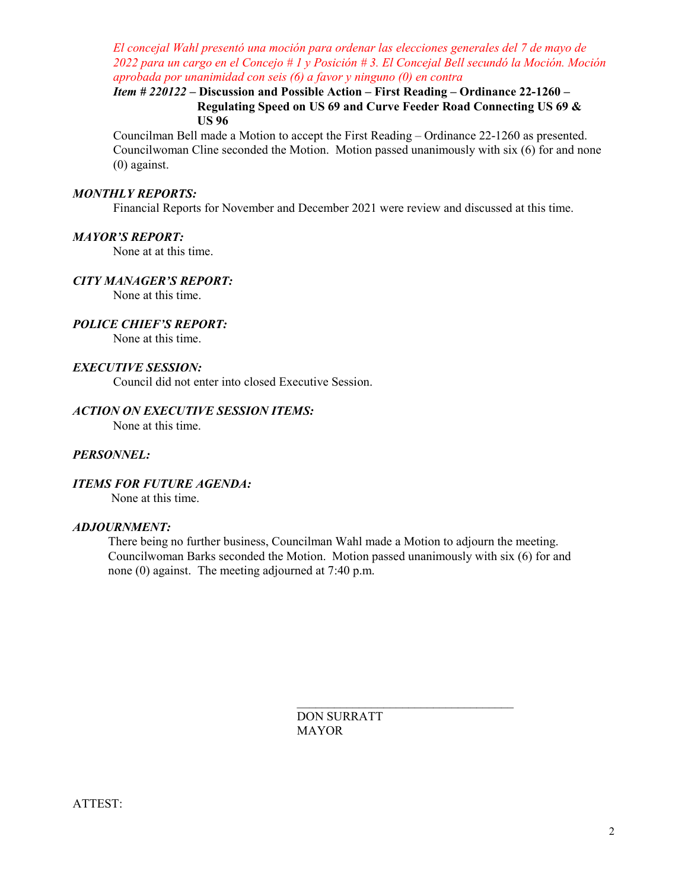El concejal Wahl presentó una moción para ordenar las elecciones generales del 7 de mayo de 2022 para un cargo en el Concejo # 1 y Posición # 3. El Concejal Bell secundó la Moción. Moción aprobada por unanimidad con seis (6) a favor y ninguno (0) en contra

# Item # 220122 – Discussion and Possible Action – First Reading – Ordinance 22-1260 – Regulating Speed on US 69 and Curve Feeder Road Connecting US 69 & US 96

 Councilman Bell made a Motion to accept the First Reading – Ordinance 22-1260 as presented. Councilwoman Cline seconded the Motion. Motion passed unanimously with six (6) for and none (0) against.

## MONTHLY REPORTS:

Financial Reports for November and December 2021 were review and discussed at this time.

### MAYOR'S REPORT:

None at at this time.

### CITY MANAGER'S REPORT:

None at this time.

### POLICE CHIEF'S REPORT:

None at this time.

#### EXECUTIVE SESSION:

Council did not enter into closed Executive Session.

### ACTION ON EXECUTIVE SESSION ITEMS:

None at this time.

#### PERSONNEL:

#### ITEMS FOR FUTURE AGENDA:

None at this time.

#### ADJOURNMENT:

 There being no further business, Councilman Wahl made a Motion to adjourn the meeting. Councilwoman Barks seconded the Motion. Motion passed unanimously with six (6) for and none (0) against. The meeting adjourned at 7:40 p.m.

> DON SURRATT MAYOR

 $\mathcal{L}_\text{max}$  and the contract of the contract of the contract of the contract of the contract of the contract of the contract of the contract of the contract of the contract of the contract of the contract of the contrac